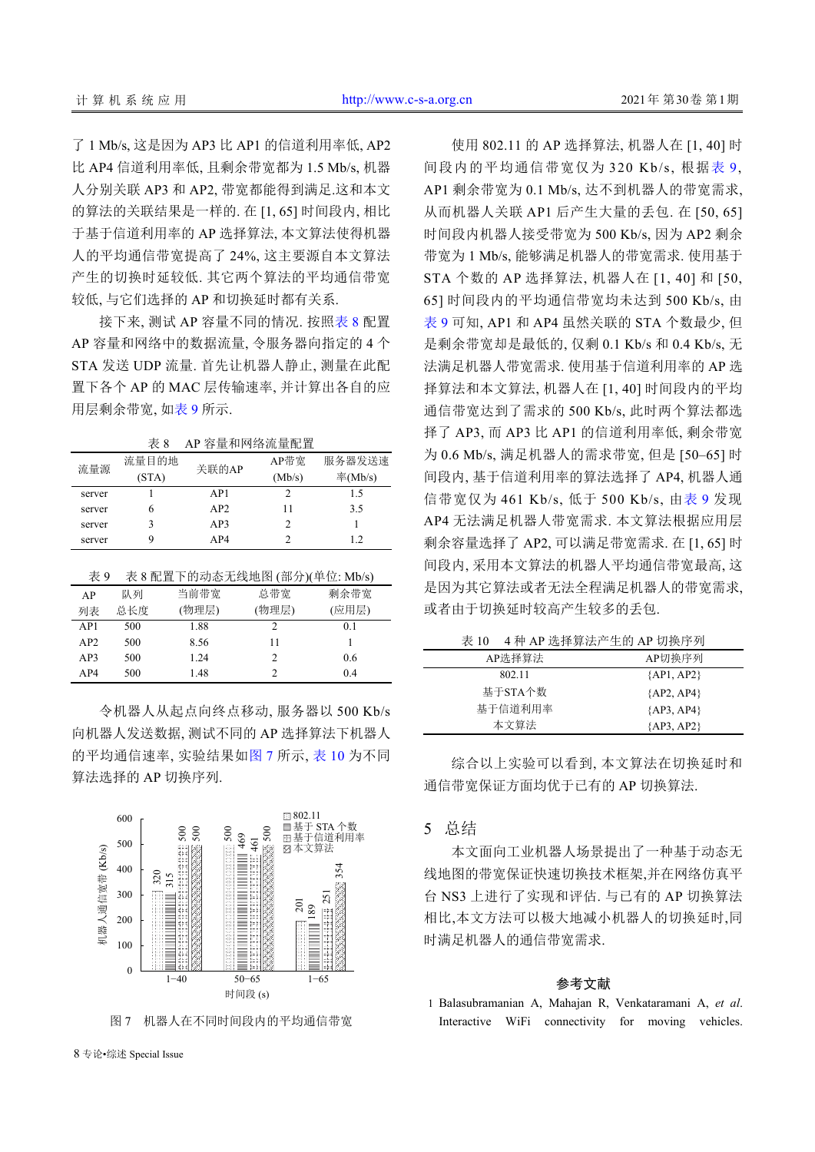了 1 Mb/s, 这是因为 AP3 比 AP1 的信道利用率低, AP2 比 AP4 信道利用率低, 且剩余带宽都为 1.5 Mb/s, 机器 人分别关联 AP3 和 AP2, 带宽都能得到满足.这和本文 的算法的关联结果是一样的. 在 [1, 65] 时间段内, 相比 于基于信道利用率的 AP 选择算法, 本文算法使得机器 人的平均通信带宽提高了 24%, 这主要源自本文算法 产生的切换时延较低. 其它两个算法的平均通信带宽 较低, 与它们选择的 AP 和切换延时都有关系.

接下来, 测试 AP 容量不同的情况. 按照[表](#page-7-0) [8](#page-7-0) 配置 AP 容量和网络中的数据流量, 令服务器向指定的 4 个 STA 发送 UDP 流量. 首先让机器人静止, 测量在此配 置下各个 AP 的 MAC 层传输速率, 并计算出各自的应 用层剩余带宽, [如表](#page-7-1) [9](#page-7-1) 所示.

<span id="page-7-0"></span>表 8 AP 容量和网络流量配置

| 流量源    | 流量目的地 | 关联的AP           | AP带宽   | 服务器发送速             |
|--------|-------|-----------------|--------|--------------------|
|        | (STA) |                 | (Mb/s) | $\mathbb{Z}(Mb/s)$ |
| server |       | AP <sub>1</sub> |        | 15                 |
| server | n     | AP2             | 11     | 3.5                |
| server |       | AP3             | っ      |                    |
| server | Q     | AP4             | C      | 1.2                |
|        |       |                 |        |                    |

<span id="page-7-1"></span>

| 表 9 |     | 表 8 配置下的动态无线地图 (部分)(单位: Mb/s) |       |       |
|-----|-----|-------------------------------|-------|-------|
| AP  | 队列  | 当前带宽                          | 总带宽   | 剩余带宽  |
| 列表  | 总长度 | (物理层)                         | (物理层) | (应用层) |
| AP1 | 500 | 1.88                          |       | 01    |
| AP2 | 500 | 8.56                          | 11    |       |
| AP3 | 500 | 1.24                          | 2     | 0.6   |
| AP4 | 500 | 1.48                          | 2     | 04    |

令机器人从起点向终点移动, 服务器以 500 Kb/s 向机器人发送数据, 测试不同的 AP 选择算法下机器人 的平均通信速率, 实验结果如[图](#page-7-2) [7](#page-7-2) 所示, [表](#page-7-3) [10](#page-7-3) 为不同 算法选择的 AP 切换序列.



<span id="page-7-2"></span>图 7 机器人在不同时间段内的平均通信带宽

8 专论•综述 Special Issue

使用 802.11 的 AP 选择算法, 机器人在 [1, 40] 时 间段内的平均通信带宽仅为 320 Kb/s, 根据[表](#page-7-1) [9](#page-7-1), AP1 剩余带宽为 0.1 Mb/s, 达不到机器人的带宽需求, 从而机器人关联 AP1 后产生大量的丢包. 在 [50, 65] 时间段内机器人接受带宽为 500 Kb/s, 因为 AP2 剩余 带宽为 1 Mb/s, 能够满足机器人的带宽需求. 使用基于 STA 个数的 AP 选择算法, 机器人在 [1, 40] 和 [50, 65] 时间段内的平均通信带宽均未达到 500 Kb/s, 由 [表](#page-7-1) [9](#page-7-1) 可知, AP1 和 AP4 虽然关联的 STA 个数最少, 但 是剩余带宽却是最低的, 仅剩 0.1 Kb/s 和 0.4 Kb/s, 无 法满足机器人带宽需求. 使用基于信道利用率的 AP 选 择算法和本文算法, 机器人在 [1, 40] 时间段内的平均 通信带宽达到了需求的 500 Kb/s, 此时两个算法都选 择了 AP3, 而 AP3 比 AP1 的信道利用率低, 剩余带宽 为 0.6 Mb/s, 满足机器人的需求带宽, 但是 [50–65] 时 间段内, 基于信道利用率的算法选择了 AP4, 机器人通 信带宽仅为 461 Kb/s, 低于 500 Kb/s, 由[表](#page-7-1) [9](#page-7-1) 发现 AP4 无法满足机器人带宽需求. 本文算法根据应用层 剩余容量选择了 AP2, 可以满足带宽需求. 在 [1, 65] 时 间段内, 采用本文算法的机器人平均通信带宽最高, 这 是因为其它算法或者无法全程满足机器人的带宽需求, 或者由于切换延时较高产生较多的丢包.

<span id="page-7-3"></span>表 10 4 种 AP 选择算法产生的 AP 切换序列

| AP选择算法  | AP切换序列       |
|---------|--------------|
| 802.11  | ${AP1, AP2}$ |
| 基于STA个数 | ${AP2, AP4}$ |
| 基于信道利用率 | ${AP3, AP4}$ |
| 本文算法    | ${AP3, AP2}$ |

综合以上实验可以看到, 本文算法在切换延时和 通信带宽保证方面均优于已有的 AP 切换算法.

## 5 总结

本文面向工业机器人场景提出了一种基于动态无 线地图的带宽保证快速切换技术框架,并在网络仿真平 台 NS3 上进行了实现和评估. 与已有的 AP 切换算法 相比,本文方法可以极大地减小机器人的切换延时,同 时满足机器人的通信带宽需求.

## 参考文献

Balasubramanian A, Mahajan R, Venkataramani A, *et al*. 1 Interactive WiFi connectivity for moving vehicles.